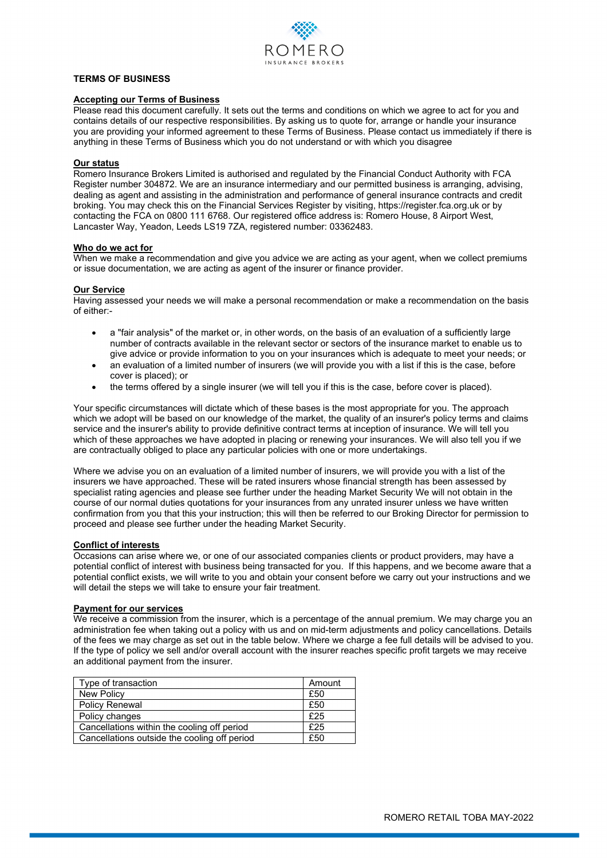

# **TERMS OF BUSINESS**

#### **Accepting our Terms of Business**

Please read this document carefully. It sets out the terms and conditions on which we agree to act for you and contains details of our respective responsibilities. By asking us to quote for, arrange or handle your insurance you are providing your informed agreement to these Terms of Business. Please contact us immediately if there is anything in these Terms of Business which you do not understand or with which you disagree

#### **Our status**

Romero Insurance Brokers Limited is authorised and regulated by the Financial Conduct Authority with FCA Register number 304872. We are an insurance intermediary and our permitted business is arranging, advising, dealing as agent and assisting in the administration and performance of general insurance contracts and credit broking. You may check this on the Financial Services Register by visiting, https://register.fca.org.uk or by contacting the FCA on 0800 111 6768. Our registered office address is: Romero House, 8 Airport West, Lancaster Way, Yeadon, Leeds LS19 7ZA, registered number: 03362483.

#### **Who do we act for**

When we make a recommendation and give you advice we are acting as your agent, when we collect premiums or issue documentation, we are acting as agent of the insurer or finance provider.

# **Our Service**

Having assessed your needs we will make a personal recommendation or make a recommendation on the basis of either:-

- a "fair analysis" of the market or, in other words, on the basis of an evaluation of a sufficiently large number of contracts available in the relevant sector or sectors of the insurance market to enable us to give advice or provide information to you on your insurances which is adequate to meet your needs; or
- an evaluation of a limited number of insurers (we will provide you with a list if this is the case, before cover is placed); or
- the terms offered by a single insurer (we will tell you if this is the case, before cover is placed).

Your specific circumstances will dictate which of these bases is the most appropriate for you. The approach which we adopt will be based on our knowledge of the market, the quality of an insurer's policy terms and claims service and the insurer's ability to provide definitive contract terms at inception of insurance. We will tell you which of these approaches we have adopted in placing or renewing your insurances. We will also tell you if we are contractually obliged to place any particular policies with one or more undertakings.

Where we advise you on an evaluation of a limited number of insurers, we will provide you with a list of the insurers we have approached. These will be rated insurers whose financial strength has been assessed by specialist rating agencies and please see further under the heading Market Security We will not obtain in the course of our normal duties quotations for your insurances from any unrated insurer unless we have written confirmation from you that this your instruction; this will then be referred to our Broking Director for permission to proceed and please see further under the heading Market Security.

# **Conflict of interests**

Occasions can arise where we, or one of our associated companies clients or product providers, may have a potential conflict of interest with business being transacted for you. If this happens, and we become aware that a potential conflict exists, we will write to you and obtain your consent before we carry out your instructions and we will detail the steps we will take to ensure your fair treatment.

#### **Payment for our services**

We receive a commission from the insurer, which is a percentage of the annual premium. We may charge you an administration fee when taking out a policy with us and on mid-term adjustments and policy cancellations. Details of the fees we may charge as set out in the table below. Where we charge a fee full details will be advised to you. If the type of policy we sell and/or overall account with the insurer reaches specific profit targets we may receive an additional payment from the insurer.

| Type of transaction                          | Amount |
|----------------------------------------------|--------|
| New Policy                                   | £50    |
| <b>Policy Renewal</b>                        | £50    |
| Policy changes                               | £25    |
| Cancellations within the cooling off period  | £25    |
| Cancellations outside the cooling off period | £50    |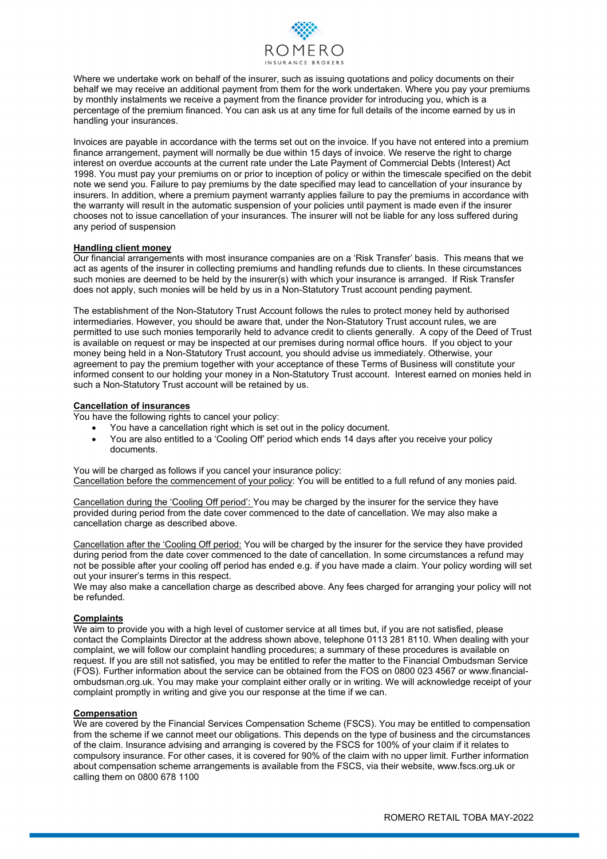

Where we undertake work on behalf of the insurer, such as issuing quotations and policy documents on their behalf we may receive an additional payment from them for the work undertaken. Where you pay your premiums by monthly instalments we receive a payment from the finance provider for introducing you, which is a percentage of the premium financed. You can ask us at any time for full details of the income earned by us in handling your insurances.

Invoices are payable in accordance with the terms set out on the invoice. If you have not entered into a premium finance arrangement, payment will normally be due within 15 days of invoice. We reserve the right to charge interest on overdue accounts at the current rate under the Late Payment of Commercial Debts (Interest) Act 1998. You must pay your premiums on or prior to inception of policy or within the timescale specified on the debit note we send you. Failure to pay premiums by the date specified may lead to cancellation of your insurance by insurers. In addition, where a premium payment warranty applies failure to pay the premiums in accordance with the warranty will result in the automatic suspension of your policies until payment is made even if the insurer chooses not to issue cancellation of your insurances. The insurer will not be liable for any loss suffered during any period of suspension

### **Handling client money**

Our financial arrangements with most insurance companies are on a 'Risk Transfer' basis. This means that we act as agents of the insurer in collecting premiums and handling refunds due to clients. In these circumstances such monies are deemed to be held by the insurer(s) with which your insurance is arranged. If Risk Transfer does not apply, such monies will be held by us in a Non-Statutory Trust account pending payment.

The establishment of the Non-Statutory Trust Account follows the rules to protect money held by authorised intermediaries. However, you should be aware that, under the Non-Statutory Trust account rules, we are permitted to use such monies temporarily held to advance credit to clients generally. A copy of the Deed of Trust is available on request or may be inspected at our premises during normal office hours. If you object to your money being held in a Non-Statutory Trust account, you should advise us immediately. Otherwise, your agreement to pay the premium together with your acceptance of these Terms of Business will constitute your informed consent to our holding your money in a Non-Statutory Trust account. Interest earned on monies held in such a Non-Statutory Trust account will be retained by us.

#### **Cancellation of insurances**

You have the following rights to cancel your policy:

- You have a cancellation right which is set out in the policy document.
- You are also entitled to a 'Cooling Off' period which ends 14 days after you receive your policy documents.

You will be charged as follows if you cancel your insurance policy: Cancellation before the commencement of your policy: You will be entitled to a full refund of any monies paid.

Cancellation during the 'Cooling Off period': You may be charged by the insurer for the service they have provided during period from the date cover commenced to the date of cancellation. We may also make a cancellation charge as described above.

Cancellation after the 'Cooling Off period: You will be charged by the insurer for the service they have provided during period from the date cover commenced to the date of cancellation. In some circumstances a refund may not be possible after your cooling off period has ended e.g. if you have made a claim. Your policy wording will set out your insurer's terms in this respect.

We may also make a cancellation charge as described above. Any fees charged for arranging your policy will not be refunded.

### **Complaints**

We aim to provide you with a high level of customer service at all times but, if you are not satisfied, please contact the Complaints Director at the address shown above, telephone 0113 281 8110. When dealing with your complaint, we will follow our complaint handling procedures; a summary of these procedures is available on request. If you are still not satisfied, you may be entitled to refer the matter to the Financial Ombudsman Service (FOS). Further information about the service can be obtained from the FOS on 0800 023 4567 or www.financialombudsman.org.uk. You may make your complaint either orally or in writing. We will acknowledge receipt of your complaint promptly in writing and give you our response at the time if we can.

### **Compensation**

We are covered by the Financial Services Compensation Scheme (FSCS). You may be entitled to compensation from the scheme if we cannot meet our obligations. This depends on the type of business and the circumstances of the claim. Insurance advising and arranging is covered by the FSCS for 100% of your claim if it relates to compulsory insurance. For other cases, it is covered for 90% of the claim with no upper limit. Further information about compensation scheme arrangements is available from the FSCS, via their website, www.fscs.org.uk or calling them on 0800 678 1100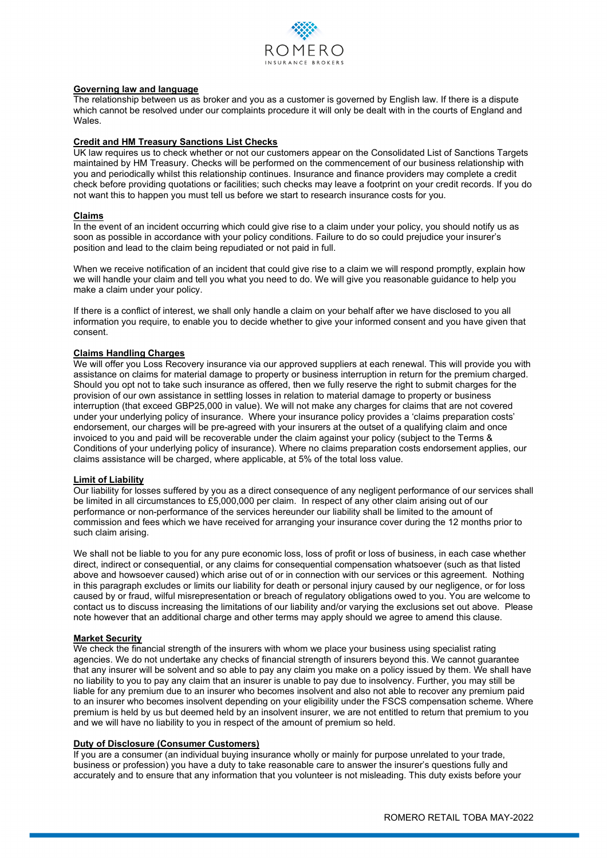

# **Governing law and language**

The relationship between us as broker and you as a customer is governed by English law. If there is a dispute which cannot be resolved under our complaints procedure it will only be dealt with in the courts of England and Wales.

## **Credit and HM Treasury Sanctions List Checks**

UK law requires us to check whether or not our customers appear on the Consolidated List of Sanctions Targets maintained by HM Treasury. Checks will be performed on the commencement of our business relationship with you and periodically whilst this relationship continues. Insurance and finance providers may complete a credit check before providing quotations or facilities; such checks may leave a footprint on your credit records. If you do not want this to happen you must tell us before we start to research insurance costs for you.

## **Claims**

In the event of an incident occurring which could give rise to a claim under your policy, you should notify us as soon as possible in accordance with your policy conditions. Failure to do so could prejudice your insurer's position and lead to the claim being repudiated or not paid in full.

When we receive notification of an incident that could give rise to a claim we will respond promptly, explain how we will handle your claim and tell you what you need to do. We will give you reasonable guidance to help you make a claim under your policy.

If there is a conflict of interest, we shall only handle a claim on your behalf after we have disclosed to you all information you require, to enable you to decide whether to give your informed consent and you have given that consent.

# **Claims Handling Charges**

We will offer you Loss Recovery insurance via our approved suppliers at each renewal. This will provide you with assistance on claims for material damage to property or business interruption in return for the premium charged. Should you opt not to take such insurance as offered, then we fully reserve the right to submit charges for the provision of our own assistance in settling losses in relation to material damage to property or business interruption (that exceed GBP25,000 in value). We will not make any charges for claims that are not covered under your underlying policy of insurance. Where your insurance policy provides a 'claims preparation costs' endorsement, our charges will be pre-agreed with your insurers at the outset of a qualifying claim and once invoiced to you and paid will be recoverable under the claim against your policy (subject to the Terms & Conditions of your underlying policy of insurance). Where no claims preparation costs endorsement applies, our claims assistance will be charged, where applicable, at 5% of the total loss value.

### **Limit of Liability**

Our liability for losses suffered by you as a direct consequence of any negligent performance of our services shall be limited in all circumstances to £5,000,000 per claim. In respect of any other claim arising out of our performance or non-performance of the services hereunder our liability shall be limited to the amount of commission and fees which we have received for arranging your insurance cover during the 12 months prior to such claim arising.

We shall not be liable to you for any pure economic loss, loss of profit or loss of business, in each case whether direct, indirect or consequential, or any claims for consequential compensation whatsoever (such as that listed above and howsoever caused) which arise out of or in connection with our services or this agreement. Nothing in this paragraph excludes or limits our liability for death or personal injury caused by our negligence, or for loss caused by or fraud, wilful misrepresentation or breach of regulatory obligations owed to you. You are welcome to contact us to discuss increasing the limitations of our liability and/or varying the exclusions set out above. Please note however that an additional charge and other terms may apply should we agree to amend this clause.

# **Market Security**

We check the financial strength of the insurers with whom we place your business using specialist rating agencies. We do not undertake any checks of financial strength of insurers beyond this. We cannot guarantee that any insurer will be solvent and so able to pay any claim you make on a policy issued by them. We shall have no liability to you to pay any claim that an insurer is unable to pay due to insolvency. Further, you may still be liable for any premium due to an insurer who becomes insolvent and also not able to recover any premium paid to an insurer who becomes insolvent depending on your eligibility under the FSCS compensation scheme. Where premium is held by us but deemed held by an insolvent insurer, we are not entitled to return that premium to you and we will have no liability to you in respect of the amount of premium so held.

### **Duty of Disclosure (Consumer Customers)**

If you are a consumer (an individual buying insurance wholly or mainly for purpose unrelated to your trade, business or profession) you have a duty to take reasonable care to answer the insurer's questions fully and accurately and to ensure that any information that you volunteer is not misleading. This duty exists before your